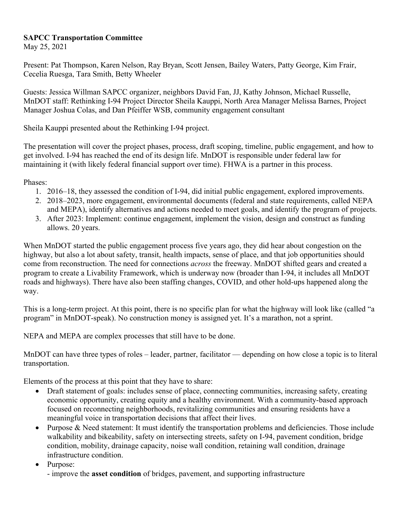# **SAPCC Transportation Committee**

May 25, 2021

Present: Pat Thompson, Karen Nelson, Ray Bryan, Scott Jensen, Bailey Waters, Patty George, Kim Frair, Cecelia Ruesga, Tara Smith, Betty Wheeler

Guests: Jessica Willman SAPCC organizer, neighbors David Fan, JJ, Kathy Johnson, Michael Russelle, MnDOT staff: Rethinking I-94 Project Director Sheila Kauppi, North Area Manager Melissa Barnes, Project Manager Joshua Colas, and Dan Pfeiffer WSB, community engagement consultant

Sheila Kauppi presented about the Rethinking I-94 project.

The presentation will cover the project phases, process, draft scoping, timeline, public engagement, and how to get involved. I-94 has reached the end of its design life. MnDOT is responsible under federal law for maintaining it (with likely federal financial support over time). FHWA is a partner in this process.

Phases:

- 1. 2016–18, they assessed the condition of I-94, did initial public engagement, explored improvements.
- 2. 2018–2023, more engagement, environmental documents (federal and state requirements, called NEPA and MEPA), identify alternatives and actions needed to meet goals, and identify the program of projects.
- 3. After 2023: Implement: continue engagement, implement the vision, design and construct as funding allows. 20 years.

When MnDOT started the public engagement process five years ago, they did hear about congestion on the highway, but also a lot about safety, transit, health impacts, sense of place, and that job opportunities should come from reconstruction. The need for connections *across* the freeway. MnDOT shifted gears and created a program to create a Livability Framework, which is underway now (broader than I-94, it includes all MnDOT roads and highways). There have also been staffing changes, COVID, and other hold-ups happened along the way.

This is a long-term project. At this point, there is no specific plan for what the highway will look like (called "a program" in MnDOT-speak). No construction money is assigned yet. It's a marathon, not a sprint.

NEPA and MEPA are complex processes that still have to be done.

MnDOT can have three types of roles – leader, partner, facilitator — depending on how close a topic is to literal transportation.

Elements of the process at this point that they have to share:

- Draft statement of goals: includes sense of place, connecting communities, increasing safety, creating economic opportunity, creating equity and a healthy environment. With a community-based approach focused on reconnecting neighborhoods, revitalizing communities and ensuring residents have a meaningful voice in transportation decisions that affect their lives.
- Purpose & Need statement: It must identify the transportation problems and deficiencies. Those include walkability and bikeability, safety on intersecting streets, safety on I-94, pavement condition, bridge condition, mobility, drainage capacity, noise wall condition, retaining wall condition, drainage infrastructure condition.

Purpose:

- improve the **asset condition** of bridges, pavement, and supporting infrastructure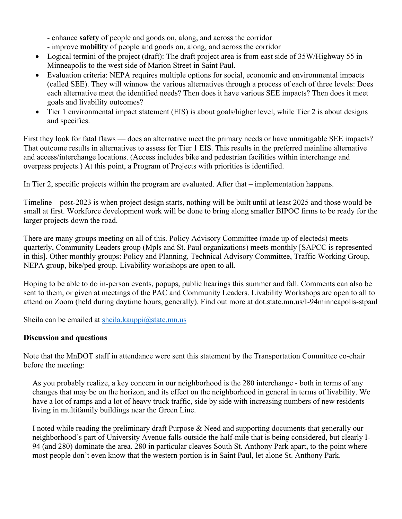- enhance **safety** of people and goods on, along, and across the corridor

- improve **mobility** of people and goods on, along, and across the corridor
- Logical termini of the project (draft): The draft project area is from east side of 35W/Highway 55 in Minneapolis to the west side of Marion Street in Saint Paul.
- Evaluation criteria: NEPA requires multiple options for social, economic and environmental impacts (called SEE). They will winnow the various alternatives through a process of each of three levels: Does each alternative meet the identified needs? Then does it have various SEE impacts? Then does it meet goals and livability outcomes?
- Tier 1 environmental impact statement (EIS) is about goals/higher level, while Tier 2 is about designs and specifics.

First they look for fatal flaws — does an alternative meet the primary needs or have unmitigable SEE impacts? That outcome results in alternatives to assess for Tier 1 EIS. This results in the preferred mainline alternative and access/interchange locations. (Access includes bike and pedestrian facilities within interchange and overpass projects.) At this point, a Program of Projects with priorities is identified.

In Tier 2, specific projects within the program are evaluated. After that – implementation happens.

Timeline – post-2023 is when project design starts, nothing will be built until at least 2025 and those would be small at first. Workforce development work will be done to bring along smaller BIPOC firms to be ready for the larger projects down the road.

There are many groups meeting on all of this. Policy Advisory Committee (made up of electeds) meets quarterly, Community Leaders group (Mpls and St. Paul organizations) meets monthly [SAPCC is represented in this]. Other monthly groups: Policy and Planning, Technical Advisory Committee, Traffic Working Group, NEPA group, bike/ped group. Livability workshops are open to all.

Hoping to be able to do in-person events, popups, public hearings this summer and fall. Comments can also be sent to them, or given at meetings of the PAC and Community Leaders. Livability Workshops are open to all to attend on Zoom (held during daytime hours, generally). Find out more at dot.state.mn.us/I-94minneapolis-stpaul

Sheila can be emailed at sheila.kauppi $@$ state.mn.us

### **Discussion and questions**

Note that the MnDOT staff in attendance were sent this statement by the Transportation Committee co-chair before the meeting:

As you probably realize, a key concern in our neighborhood is the 280 interchange - both in terms of any changes that may be on the horizon, and its effect on the neighborhood in general in terms of livability. We have a lot of ramps and a lot of heavy truck traffic, side by side with increasing numbers of new residents living in multifamily buildings near the Green Line.

I noted while reading the preliminary draft Purpose & Need and supporting documents that generally our neighborhood's part of University Avenue falls outside the half-mile that is being considered, but clearly I-94 (and 280) dominate the area. 280 in particular cleaves South St. Anthony Park apart, to the point where most people don't even know that the western portion is in Saint Paul, let alone St. Anthony Park.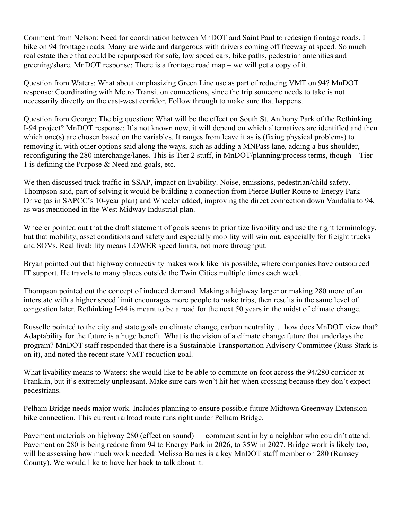Comment from Nelson: Need for coordination between MnDOT and Saint Paul to redesign frontage roads. I bike on 94 frontage roads. Many are wide and dangerous with drivers coming off freeway at speed. So much real estate there that could be repurposed for safe, low speed cars, bike paths, pedestrian amenities and greening/share. MnDOT response: There is a frontage road map – we will get a copy of it.

Question from Waters: What about emphasizing Green Line use as part of reducing VMT on 94? MnDOT response: Coordinating with Metro Transit on connections, since the trip someone needs to take is not necessarily directly on the east-west corridor. Follow through to make sure that happens.

Question from George: The big question: What will be the effect on South St. Anthony Park of the Rethinking I-94 project? MnDOT response: It's not known now, it will depend on which alternatives are identified and then which one(s) are chosen based on the variables. It ranges from leave it as is (fixing physical problems) to removing it, with other options said along the ways, such as adding a MNPass lane, adding a bus shoulder, reconfiguring the 280 interchange/lanes. This is Tier 2 stuff, in MnDOT/planning/process terms, though – Tier 1 is defining the Purpose & Need and goals, etc.

We then discussed truck traffic in SSAP, impact on livability. Noise, emissions, pedestrian/child safety. Thompson said, part of solving it would be building a connection from Pierce Butler Route to Energy Park Drive (as in SAPCC's 10-year plan) and Wheeler added, improving the direct connection down Vandalia to 94, as was mentioned in the West Midway Industrial plan.

Wheeler pointed out that the draft statement of goals seems to prioritize livability and use the right terminology, but that mobility, asset conditions and safety and especially mobility will win out, especially for freight trucks and SOVs. Real livability means LOWER speed limits, not more throughput.

Bryan pointed out that highway connectivity makes work like his possible, where companies have outsourced IT support. He travels to many places outside the Twin Cities multiple times each week.

Thompson pointed out the concept of induced demand. Making a highway larger or making 280 more of an interstate with a higher speed limit encourages more people to make trips, then results in the same level of congestion later. Rethinking I-94 is meant to be a road for the next 50 years in the midst of climate change.

Russelle pointed to the city and state goals on climate change, carbon neutrality… how does MnDOT view that? Adaptability for the future is a huge benefit. What is the vision of a climate change future that underlays the program? MnDOT staff responded that there is a Sustainable Transportation Advisory Committee (Russ Stark is on it), and noted the recent state VMT reduction goal.

What livability means to Waters: she would like to be able to commute on foot across the 94/280 corridor at Franklin, but it's extremely unpleasant. Make sure cars won't hit her when crossing because they don't expect pedestrians.

Pelham Bridge needs major work. Includes planning to ensure possible future Midtown Greenway Extension bike connection. This current railroad route runs right under Pelham Bridge.

Pavement materials on highway 280 (effect on sound) — comment sent in by a neighbor who couldn't attend: Pavement on 280 is being redone from 94 to Energy Park in 2026, to 35W in 2027. Bridge work is likely too, will be assessing how much work needed. Melissa Barnes is a key MnDOT staff member on 280 (Ramsey County). We would like to have her back to talk about it.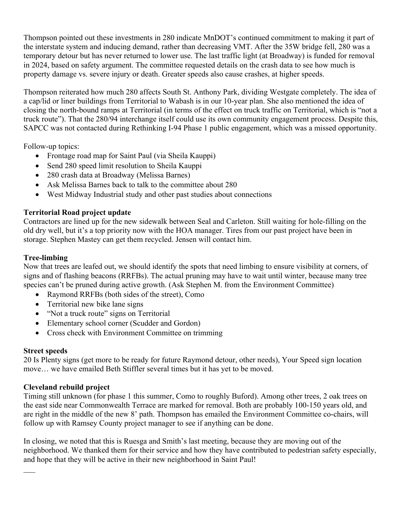Thompson pointed out these investments in 280 indicate MnDOT's continued commitment to making it part of the interstate system and inducing demand, rather than decreasing VMT. After the 35W bridge fell, 280 was a temporary detour but has never returned to lower use. The last traffic light (at Broadway) is funded for removal in 2024, based on safety argument. The committee requested details on the crash data to see how much is property damage vs. severe injury or death. Greater speeds also cause crashes, at higher speeds.

Thompson reiterated how much 280 affects South St. Anthony Park, dividing Westgate completely. The idea of a cap/lid or liner buildings from Territorial to Wabash is in our 10-year plan. She also mentioned the idea of closing the north-bound ramps at Territorial (in terms of the effect on truck traffic on Territorial, which is "not a truck route"). That the 280/94 interchange itself could use its own community engagement process. Despite this, SAPCC was not contacted during Rethinking I-94 Phase 1 public engagement, which was a missed opportunity.

Follow-up topics:

- Frontage road map for Saint Paul (via Sheila Kauppi)
- Send 280 speed limit resolution to Sheila Kauppi
- 280 crash data at Broadway (Melissa Barnes)
- Ask Melissa Barnes back to talk to the committee about 280
- West Midway Industrial study and other past studies about connections

## **Territorial Road project update**

Contractors are lined up for the new sidewalk between Seal and Carleton. Still waiting for hole-filling on the old dry well, but it's a top priority now with the HOA manager. Tires from our past project have been in storage. Stephen Mastey can get them recycled. Jensen will contact him.

## **Tree-limbing**

Now that trees are leafed out, we should identify the spots that need limbing to ensure visibility at corners, of signs and of flashing beacons (RRFBs). The actual pruning may have to wait until winter, because many tree species can't be pruned during active growth. (Ask Stephen M. from the Environment Committee)

- Raymond RRFBs (both sides of the street), Como
- Territorial new bike lane signs
- "Not a truck route" signs on Territorial
- Elementary school corner (Scudder and Gordon)
- Cross check with Environment Committee on trimming

### **Street speeds**

20 Is Plenty signs (get more to be ready for future Raymond detour, other needs), Your Speed sign location move… we have emailed Beth Stiffler several times but it has yet to be moved.

### **Cleveland rebuild project**

Timing still unknown (for phase 1 this summer, Como to roughly Buford). Among other trees, 2 oak trees on the east side near Commonwealth Terrace are marked for removal. Both are probably 100-150 years old, and are right in the middle of the new 8' path. Thompson has emailed the Environment Committee co-chairs, will follow up with Ramsey County project manager to see if anything can be done.

In closing, we noted that this is Ruesga and Smith's last meeting, because they are moving out of the neighborhood. We thanked them for their service and how they have contributed to pedestrian safety especially, and hope that they will be active in their new neighborhood in Saint Paul!